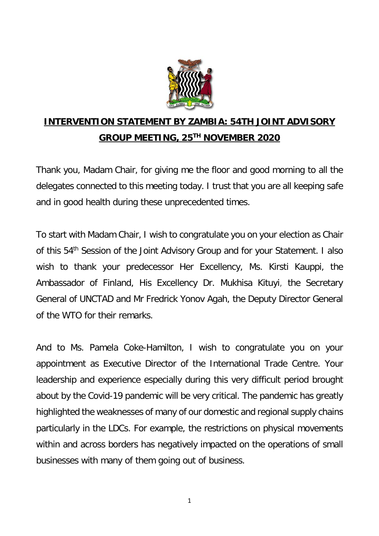

## **INTERVENTION STATEMENT BY ZAMBIA: 54TH JOINT ADVISORY GROUP MEETING, 25TH NOVEMBER 2020**

Thank you, Madam Chair, for giving me the floor and good morning to all the delegates connected to this meeting today. I trust that you are all keeping safe and in good health during these unprecedented times.

To start with Madam Chair, I wish to congratulate you on your election as Chair of this 54<sup>th</sup> Session of the Joint Advisory Group and for your Statement. I also wish to thank your predecessor Her Excellency, Ms. Kirsti Kauppi, the Ambassador of Finland, His Excellency Dr. Mukhisa Kituyi, the Secretary General of UNCTAD and Mr Fredrick Yonov Agah, the Deputy Director General of the WTO for their remarks.

And to Ms. Pamela Coke-Hamilton, I wish to congratulate you on your appointment as Executive Director of the International Trade Centre. Your leadership and experience especially during this very difficult period brought about by the Covid-19 pandemic will be very critical. The pandemic has greatly highlighted the weaknesses of many of our domestic and regional supply chains particularly in the LDCs. For example, the restrictions on physical movements within and across borders has negatively impacted on the operations of small businesses with many of them going out of business.

1